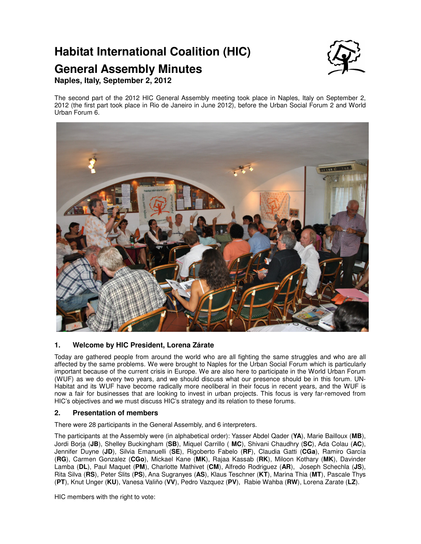# **Habitat International Coalition (HIC)**

## **General Assembly Minutes**



## **Naples, Italy, September 2, 2012**

The second part of the 2012 HIC General Assembly meeting took place in Naples, Italy on September 2, 2012 (the first part took place in Rio de Janeiro in June 2012), before the Urban Social Forum 2 and World Urban Forum 6.



## **1. Welcome by HIC President, Lorena Zárate**

Today are gathered people from around the world who are all fighting the same struggles and who are all affected by the same problems. We were brought to Naples for the Urban Social Forum which is particularly important because of the current crisis in Europe. We are also here to participate in the World Urban Forum (WUF) as we do every two years, and we should discuss what our presence should be in this forum. UN-Habitat and its WUF have become radically more neoliberal in their focus in recent years, and the WUF is now a fair for businesses that are looking to invest in urban projects. This focus is very far-removed from HIC's objectives and we must discuss HIC's strategy and its relation to these forums.

### **2. Presentation of members**

There were 28 participants in the General Assembly, and 6 interpreters.

The participants at the Assembly were (in alphabetical order): Yasser Abdel Qader (**YA**), Marie Bailloux (**MB**), Jordi Borja (**JB**), Shelley Buckingham (**SB**), Miquel Carrillo ( **MC**), Shivani Chaudhry (**SC**), Ada Colau (**AC**), Jennifer Duyne (**JD**), Silvia Emanuelli (**SE**), Rigoberto Fabelo (**RF**), Claudia Gatti (**CGa**), Ramiro García (**RG**), Carmen Gonzalez (**CGo**), Mickael Kane (**MK**), Rajaa Kassab (**RK**), Miloon Kothary (**MK**), Davinder Lamba (**DL**), Paul Maquet (**PM**), Charlotte Mathivet (**CM**), Alfredo Rodriguez (**AR**), Joseph Schechla (**JS**), Rita Silva (**RS**), Peter Slits (**PS**), Ana Sugranyes (**AS**), Klaus Teschner (**KT**), Marina Thia (**MT**), Pascale Thys (**PT**), Knut Unger (**KU**), Vanesa Valiño (**VV**), Pedro Vazquez (**PV**), Rabie Wahba (**RW**), Lorena Zarate (**LZ**).

HIC members with the right to vote: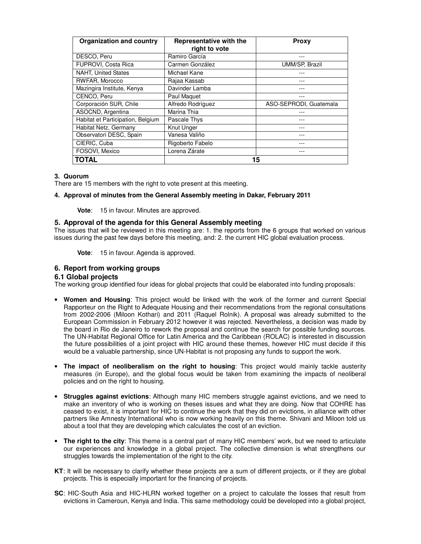| <b>Organization and country</b>   | Representative with the<br>right to vote | <b>Proxy</b>           |
|-----------------------------------|------------------------------------------|------------------------|
| DESCO, Peru                       | Ramiro García                            |                        |
| FUPROVI, Costa Rica               | Carmen González                          | UMM/SP, Brazil         |
| <b>NAHT, United States</b>        | Michael Kane                             |                        |
| RWFAR, Morocco                    | Rajaa Kassab                             |                        |
| Mazingira Institute, Kenya        | Davinder Lamba                           |                        |
| CENCO, Peru                       | Paul Maquet                              |                        |
| Corporación SUR, Chile            | Alfredo Rodríguez                        | ASO-SEPRODI, Guatemala |
| ASOCND, Argentina                 | Marina Thia                              |                        |
| Habitat et Participation, Belgium | Pascale Thys                             |                        |
| Habitat Netz, Germany             | Knut Unger                               |                        |
| Observatori DESC, Spain           | Vanesa Valiño                            |                        |
| CIERIC, Cuba                      | Rigoberto Fabelo                         |                        |
| FOSOVI, Mexico                    | Lorena Zárate                            |                        |
| TOTAL                             | 15                                       |                        |

#### **3. Quorum**

There are 15 members with the right to vote present at this meeting.

#### **4. Approval of minutes from the General Assembly meeting in Dakar, February 2011**

**Vote**: 15 in favour. Minutes are approved.

#### **5. Approval of the agenda for this General Assembly meeting**

The issues that will be reviewed in this meeting are: 1. the reports from the 6 groups that worked on various issues during the past few days before this meeting, and: 2. the current HIC global evaluation process.

**Vote**: 15 in favour. Agenda is approved.

#### **6. Report from working groups**

#### **6.1 Global projects**

The working group identified four ideas for global projects that could be elaborated into funding proposals:

- **Women and Housing**: This project would be linked with the work of the former and current Special Rapporteur on the Right to Adequate Housing and their recommendations from the regional consultations from 2002-2006 (Miloon Kothari) and 2011 (Raquel Rolnik). A proposal was already submitted to the European Commission in February 2012 however it was rejected. Nevertheless, a decision was made by the board in Rio de Janeiro to rework the proposal and continue the search for possible funding sources. The UN-Habitat Regional Office for Latin America and the Caribbean (ROLAC) is interested in discussion the future possibilities of a joint project with HIC around these themes, however HIC must decide if this would be a valuable partnership, since UN-Habitat is not proposing any funds to support the work.
- **The impact of neoliberalism on the right to housing**: This project would mainly tackle austerity measures (in Europe), and the global focus would be taken from examining the impacts of neoliberal policies and on the right to housing.
- **Struggles against evictions**: Although many HIC members struggle against evictions, and we need to make an inventory of who is working on theses issues and what they are doing. Now that COHRE has ceased to exist, it is important for HIC to continue the work that they did on evictions, in alliance with other partners like Amnesty International who is now working heavily on this theme. Shivani and Miloon told us about a tool that they are developing which calculates the cost of an eviction.
- **The right to the city**: This theme is a central part of many HIC members' work, but we need to articulate our experiences and knowledge in a global project. The collective dimension is what strengthens our struggles towards the implementation of the right to the city.
- **KT**: It will be necessary to clarify whether these projects are a sum of different projects, or if they are global projects. This is especially important for the financing of projects.
- **SC**: HIC-South Asia and HIC-HLRN worked together on a project to calculate the losses that result from evictions in Cameroun, Kenya and India. This same methodology could be developed into a global project,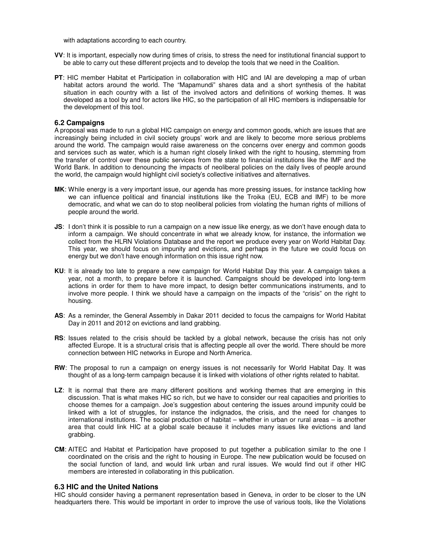with adaptations according to each country.

- **VV**: It is important, especially now during times of crisis, to stress the need for institutional financial support to be able to carry out these different projects and to develop the tools that we need in the Coalition.
- **PT**: HIC member Habitat et Participation in collaboration with HIC and IAI are developing a map of urban habitat actors around the world. The "Mapamundi" shares data and a short synthesis of the habitat situation in each country with a list of the involved actors and definitions of working themes. It was developed as a tool by and for actors like HIC, so the participation of all HIC members is indispensable for the development of this tool.

#### **6.2 Campaigns**

A proposal was made to run a global HIC campaign on energy and common goods, which are issues that are increasingly being included in civil society groups' work and are likely to become more serious problems around the world. The campaign would raise awareness on the concerns over energy and common goods and services such as water, which is a human right closely linked with the right to housing, stemming from the transfer of control over these public services from the state to financial institutions like the IMF and the World Bank. In addition to denouncing the impacts of neoliberal policies on the daily lives of people around the world, the campaign would highlight civil society's collective initiatives and alternatives.

- **MK**: While energy is a very important issue, our agenda has more pressing issues, for instance tackling how we can influence political and financial institutions like the Troika (EU, ECB and IMF) to be more democratic, and what we can do to stop neoliberal policies from violating the human rights of millions of people around the world.
- **JS:** I don't think it is possible to run a campaign on a new issue like energy, as we don't have enough data to inform a campaign. We should concentrate in what we already know, for instance, the information we collect from the HLRN Violations Database and the report we produce every year on World Habitat Day. This year, we should focus on impunity and evictions, and perhaps in the future we could focus on energy but we don't have enough information on this issue right now.
- **KU**: It is already too late to prepare a new campaign for World Habitat Day this year. A campaign takes a year, not a month, to prepare before it is launched. Campaigns should be developed into long-term actions in order for them to have more impact, to design better communications instruments, and to involve more people. I think we should have a campaign on the impacts of the "crisis" on the right to housing.
- **AS**: As a reminder, the General Assembly in Dakar 2011 decided to focus the campaigns for World Habitat Day in 2011 and 2012 on evictions and land grabbing.
- **RS**: Issues related to the crisis should be tackled by a global network, because the crisis has not only affected Europe. It is a structural crisis that is affecting people all over the world. There should be more connection between HIC networks in Europe and North America.
- **RW**: The proposal to run a campaign on energy issues is not necessarily for World Habitat Day. It was thought of as a long-term campaign because it is linked with violations of other rights related to habitat.
- **LZ**: It is normal that there are many different positions and working themes that are emerging in this discussion. That is what makes HIC so rich, but we have to consider our real capacities and priorities to choose themes for a campaign. Joe's suggestion about centering the issues around impunity could be linked with a lot of struggles, for instance the indignados, the crisis, and the need for changes to international institutions. The social production of habitat – whether in urban or rural areas – is another area that could link HIC at a global scale because it includes many issues like evictions and land grabbing.
- **CM**: AITEC and Habitat et Participation have proposed to put together a publication similar to the one I coordinated on the crisis and the right to housing in Europe. The new publication would be focused on the social function of land, and would link urban and rural issues. We would find out if other HIC members are interested in collaborating in this publication.

#### **6.3 HIC and the United Nations**

HIC should consider having a permanent representation based in Geneva, in order to be closer to the UN headquarters there. This would be important in order to improve the use of various tools, like the Violations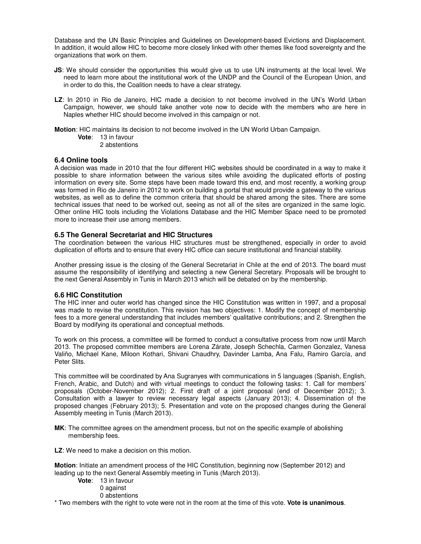Database and the UN Basic Principles and Guidelines on Development-based Evictions and Displacement. In addition, it would allow HIC to become more closely linked with other themes like food sovereignty and the organizations that work on them.

- **JS**: We should consider the opportunities this would give us to use UN instruments at the local level. We need to learn more about the institutional work of the UNDP and the Council of the European Union, and in order to do this, the Coalition needs to have a clear strategy.
- **LZ**: In 2010 in Rio de Janeiro, HIC made a decision to not become involved in the UN's World Urban Campaign, however, we should take another vote now to decide with the members who are here in Naples whether HIC should become involved in this campaign or not.

**Motion**: HIC maintains its decision to not become involved in the UN World Urban Campaign.

**Vote**: 13 in favour

2 abstentions

#### **6.4 Online tools**

A decision was made in 2010 that the four different HIC websites should be coordinated in a way to make it possible to share information between the various sites while avoiding the duplicated efforts of posting information on every site. Some steps have been made toward this end, and most recently, a working group was formed in Rio de Janeiro in 2012 to work on building a portal that would provide a gateway to the various websites, as well as to define the common criteria that should be shared among the sites. There are some technical issues that need to be worked out, seeing as not all of the sites are organized in the same logic. Other online HIC tools including the Violations Database and the HIC Member Space need to be promoted more to increase their use among members.

#### **6.5 The General Secretariat and HIC Structures**

The coordination between the various HIC structures must be strengthened, especially in order to avoid duplication of efforts and to ensure that every HIC office can secure institutional and financial stability.

Another pressing issue is the closing of the General Secretariat in Chile at the end of 2013. The board must assume the responsibility of identifying and selecting a new General Secretary. Proposals will be brought to the next General Assembly in Tunis in March 2013 which will be debated on by the membership.

#### **6.6 HIC Constitution**

The HIC inner and outer world has changed since the HIC Constitution was written in 1997, and a proposal was made to revise the constitution. This revision has two objectives: 1. Modify the concept of membership fees to a more general understanding that includes members' qualitative contributions; and 2. Strengthen the Board by modifying its operational and conceptual methods.

To work on this process, a committee will be formed to conduct a consultative process from now until March 2013. The proposed committee members are Lorena Zárate, Joseph Schechla, Carmen Gonzalez, Vanesa Valiño, Michael Kane, Miloon Kothari, Shivani Chaudhry, Davinder Lamba, Ana Falu, Ramiro García, and Peter Slits.

This committee will be coordinated by Ana Sugranyes with communications in 5 languages (Spanish, English, French, Arabic, and Dutch) and with virtual meetings to conduct the following tasks: 1. Call for members' proposals (October-November 2012); 2. First draft of a joint proposal (end of December 2012); 3. Consultation with a lawyer to review necessary legal aspects (January 2013); 4. Dissemination of the proposed changes (February 2013); 5. Presentation and vote on the proposed changes during the General Assembly meeting in Tunis (March 2013).

- **MK**: The committee agrees on the amendment process, but not on the specific example of abolishing membership fees.
- **LZ**: We need to make a decision on this motion.

**Motion**: Initiate an amendment process of the HIC Constitution, beginning now (September 2012) and leading up to the next General Assembly meeting in Tunis (March 2013).

**Vote**: 13 in favour 0 against 0 abstentions

\* Two members with the right to vote were not in the room at the time of this vote. **Vote is unanimous**.